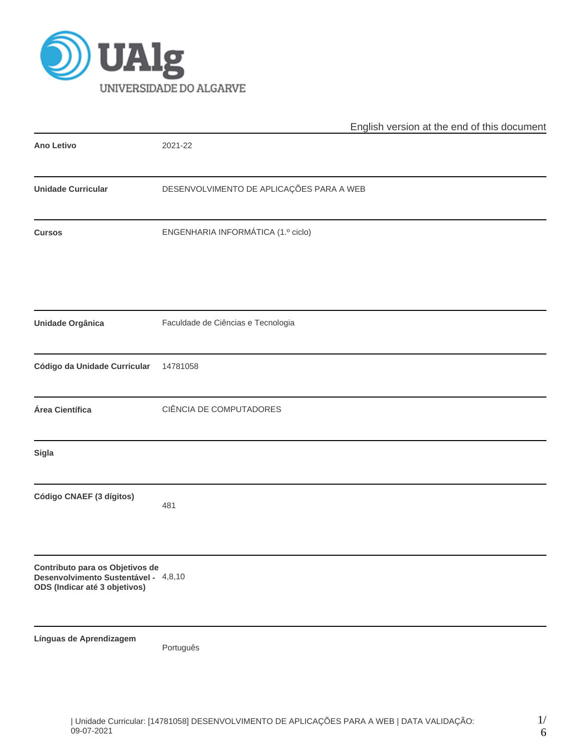

|                                                                                                          | English version at the end of this document |  |  |  |  |  |  |  |
|----------------------------------------------------------------------------------------------------------|---------------------------------------------|--|--|--|--|--|--|--|
| <b>Ano Letivo</b>                                                                                        | 2021-22                                     |  |  |  |  |  |  |  |
| <b>Unidade Curricular</b>                                                                                | DESENVOLVIMENTO DE APLICAÇÕES PARA A WEB    |  |  |  |  |  |  |  |
| <b>Cursos</b>                                                                                            | ENGENHARIA INFORMÁTICA (1.º ciclo)          |  |  |  |  |  |  |  |
| Unidade Orgânica                                                                                         | Faculdade de Ciências e Tecnologia          |  |  |  |  |  |  |  |
| Código da Unidade Curricular                                                                             | 14781058                                    |  |  |  |  |  |  |  |
| Área Científica                                                                                          | CIÊNCIA DE COMPUTADORES                     |  |  |  |  |  |  |  |
| Sigla                                                                                                    |                                             |  |  |  |  |  |  |  |
| Código CNAEF (3 dígitos)                                                                                 | 481                                         |  |  |  |  |  |  |  |
| Contributo para os Objetivos de<br>Desenvolvimento Sustentável - 4,8,10<br>ODS (Indicar até 3 objetivos) |                                             |  |  |  |  |  |  |  |
| Línguas de Aprendizagem                                                                                  | Português                                   |  |  |  |  |  |  |  |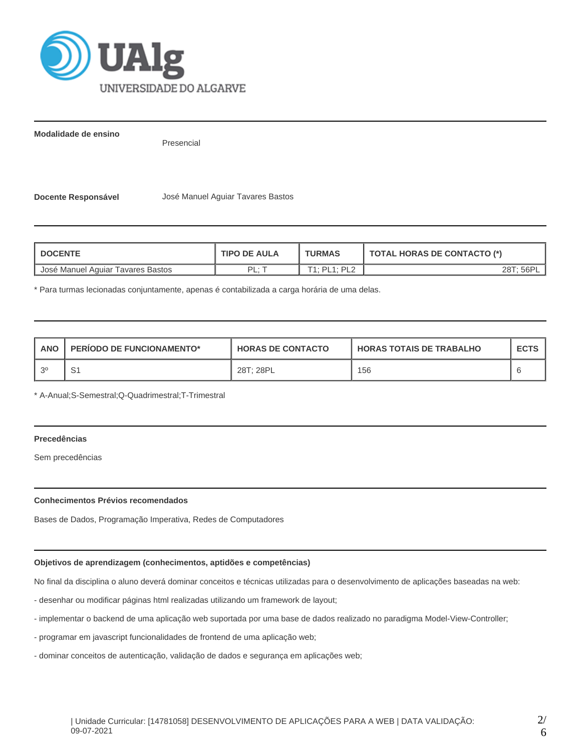

**Modalidade de ensino**

Presencial

**Docente Responsável** José Manuel Aguiar Tavares Bastos

| <b>DOCENTE</b>                    | <b>TIPO DE AULA</b> | <b>TURMAS</b> | <b>TOTAL HORAS DE CONTACTO (*)</b> |  |  |
|-----------------------------------|---------------------|---------------|------------------------------------|--|--|
| José Manuel Aguiar Tavares Bastos | ΡI<br>. .           | T1: PL1: PL2  | 28T; 56P'                          |  |  |

\* Para turmas lecionadas conjuntamente, apenas é contabilizada a carga horária de uma delas.

| <b>ANO</b> | <b>PERIODO DE FUNCIONAMENTO*</b> | <b>HORAS DE CONTACTO</b> | <b>HORAS TOTAIS DE TRABALHO</b> | <b>ECTS</b> |
|------------|----------------------------------|--------------------------|---------------------------------|-------------|
| 20         | ັ                                | 28T; 28PL                | 156                             |             |

\* A-Anual;S-Semestral;Q-Quadrimestral;T-Trimestral

# **Precedências**

Sem precedências

## **Conhecimentos Prévios recomendados**

Bases de Dados, Programação Imperativa, Redes de Computadores

#### **Objetivos de aprendizagem (conhecimentos, aptidões e competências)**

No final da disciplina o aluno deverá dominar conceitos e técnicas utilizadas para o desenvolvimento de aplicações baseadas na web:

- desenhar ou modificar páginas html realizadas utilizando um framework de layout;
- implementar o backend de uma aplicação web suportada por uma base de dados realizado no paradigma Model-View-Controller;
- programar em javascript funcionalidades de frontend de uma aplicação web;
- dominar conceitos de autenticação, validação de dados e segurança em aplicações web;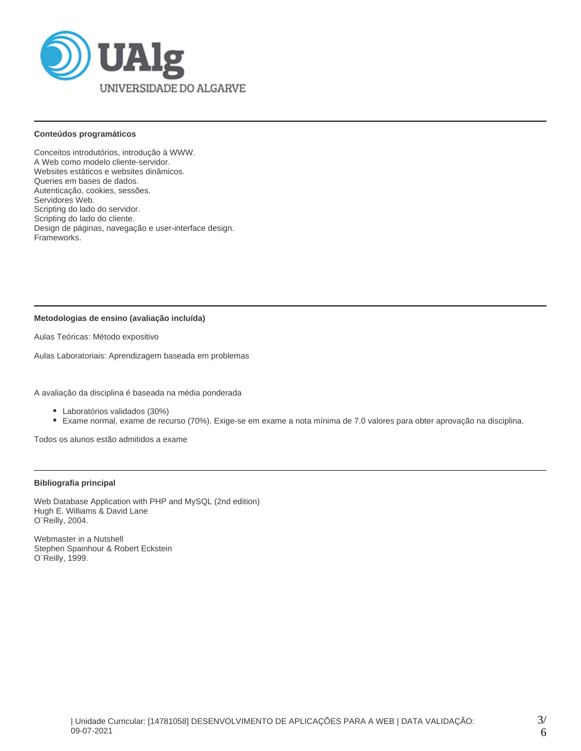

#### **Conteúdos programáticos**

Conceitos introdutórios, introdução à WWW. A Web como modelo cliente-servidor. Websites estáticos e websites dinâmicos. Queries em bases de dados. Autenticação, cookies, sessões. Servidores Web. Scripting do lado do servidor. Scripting do lado do cliente. Design de páginas, navegação e user-interface design. Frameworks.

## **Metodologias de ensino (avaliação incluída)**

Aulas Teóricas: Método expositivo

Aulas Laboratoriais: Aprendizagem baseada em problemas

A avaliação da disciplina é baseada na média ponderada

- Laboratórios validados (30%)
- Exame normal, exame de recurso (70%). Exige-se em exame a nota mínima de 7.0 valores para obter aprovação na disciplina.

Todos os alunos estão admitidos a exame

# **Bibliografia principal**

Web Database Application with PHP and MySQL (2nd edition) Hugh E. Williams & David Lane O´Reilly, 2004.

Webmaster in a Nutshell Stephen Spainhour & Robert Eckstein O´Reilly, 1999.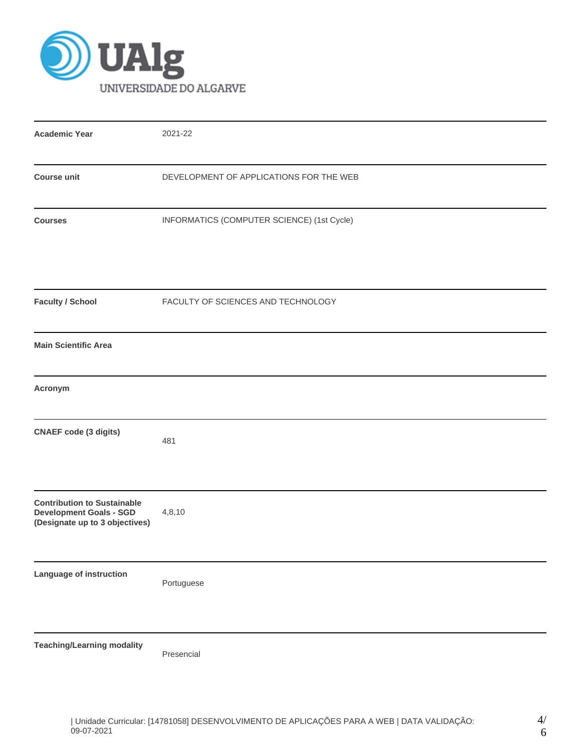

| <b>Academic Year</b>                                                                                   | 2021-22                                    |
|--------------------------------------------------------------------------------------------------------|--------------------------------------------|
| <b>Course unit</b>                                                                                     | DEVELOPMENT OF APPLICATIONS FOR THE WEB    |
| <b>Courses</b>                                                                                         | INFORMATICS (COMPUTER SCIENCE) (1st Cycle) |
| <b>Faculty / School</b>                                                                                | FACULTY OF SCIENCES AND TECHNOLOGY         |
| <b>Main Scientific Area</b>                                                                            |                                            |
| Acronym                                                                                                |                                            |
| <b>CNAEF code (3 digits)</b>                                                                           | 481                                        |
| <b>Contribution to Sustainable</b><br><b>Development Goals - SGD</b><br>(Designate up to 3 objectives) | 4,8,10                                     |
| Language of instruction                                                                                | Portuguese                                 |
| <b>Teaching/Learning modality</b>                                                                      | Presencial                                 |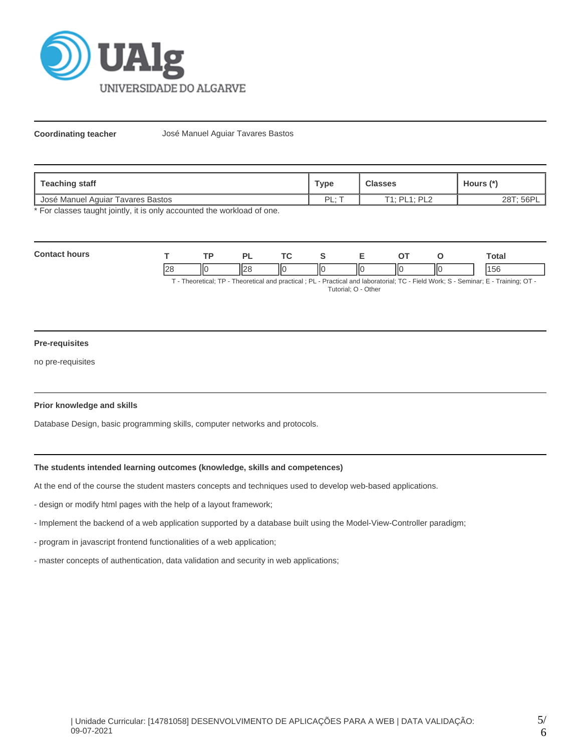

**Coordinating teacher** José Manuel Aguiar Tavares Bastos

| <b>Teaching staff</b>             | Type      | <b>Classes</b>              | <b>Hours</b>       |  |
|-----------------------------------|-----------|-----------------------------|--------------------|--|
| José Manuel Aquiar Tavares Bastos | DI<br>. . | $T1.$ DI $1.$ DI $2.$<br>-- | 56P<br>ാഠా<br>ZO I |  |

\* For classes taught jointly, it is only accounted the workload of one.

| Con |                   | TD. |                   | <b>Trea</b> |    |    | otal |
|-----|-------------------|-----|-------------------|-------------|----|----|------|
|     | $n_{\rm B}$<br>'4 | 110 | $\mathbf{r}$<br>״ | ١Ю          | ШC | IЮ | эť   |

T - Theoretical; TP - Theoretical and practical ; PL - Practical and laboratorial; TC - Field Work; S - Seminar; E - Training; OT - Tutorial; O - Other

## **Pre-requisites**

no pre-requisites

#### **Prior knowledge and skills**

Database Design, basic programming skills, computer networks and protocols.

## **The students intended learning outcomes (knowledge, skills and competences)**

At the end of the course the student masters concepts and techniques used to develop web-based applications.

- design or modify html pages with the help of a layout framework;
- Implement the backend of a web application supported by a database built using the Model-View-Controller paradigm;
- program in javascript frontend functionalities of a web application;
- master concepts of authentication, data validation and security in web applications;